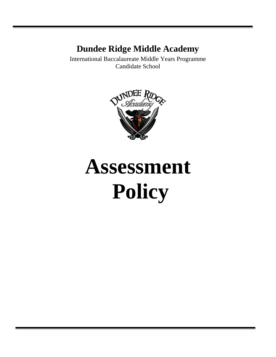# **Dundee Ridge Middle Academy**

International Baccalaureate Middle Years Programme Candidate School



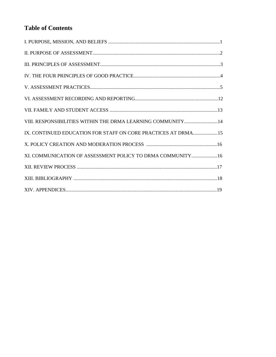# **Table of Contents**

| VIII. RESPONSIBILITIES WITHIN THE DRMA LEARNING COMMUNITY14   |  |
|---------------------------------------------------------------|--|
| IX. CONTINUED EDUCATION FOR STAFF ON CORE PRACTICES AT DRMA15 |  |
|                                                               |  |
| XI. COMMUNICATION OF ASSESSMENT POLICY TO DRMA COMMUNITY16    |  |
|                                                               |  |
|                                                               |  |
|                                                               |  |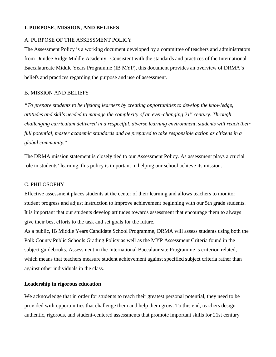### **I. PURPOSE, MISSION, AND BELIEFS**

#### A. PURPOSE OF THE ASSESSMENT POLICY

The Assessment Policy is a working document developed by a committee of teachers and administrators from Dundee Ridge Middle Academy. Consistent with the standards and practices of the International Baccalaureate Middle Years Programme (IB MYP), this document provides an overview of DRMA's beliefs and practices regarding the purpose and use of assessment.

### B. MISSION AND BELIEFS

*"To prepare students to be lifelong learners by creating opportunities to develop the knowledge, attitudes and skills needed to manage the complexity of an ever-changing 21st century. Through challenging curriculum delivered in a respectful, diverse learning environment, students will reach their full potential, master academic standards and be prepared to take responsible action as citizens in a global community.*"

The DRMA mission statement is closely tied to our Assessment Policy. As assessment plays a crucial role in students' learning, this policy is important in helping our school achieve its mission.

#### C. PHILOSOPHY

Effective assessment places students at the center of their learning and allows teachers to monitor student progress and adjust instruction to improve achievement beginning with our 5th grade students. It is important that our students develop attitudes towards assessment that encourage them to always give their best efforts to the task and set goals for the future.

As a public, IB Middle Years Candidate School Programme, DRMA will assess students using both the Polk County Public Schools Grading Policy as well as the MYP Assessment Criteria found in the subject guidebooks. Assessment in the International Baccalaureate Programme is criterion related, which means that teachers measure student achievement against specified subject criteria rather than against other individuals in the class.

### **Leadership in rigorous education**

We acknowledge that in order for students to reach their greatest personal potential, they need to be provided with opportunities that challenge them and help them grow. To this end, teachers design authentic, rigorous, and student-centered assessments that promote important skills for 21st century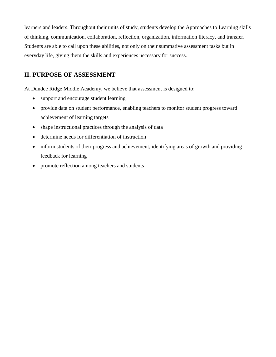learners and leaders. Throughout their units of study, students develop the Approaches to Learning skills of thinking, communication, collaboration, reflection, organization, information literacy, and transfer. Students are able to call upon these abilities, not only on their summative assessment tasks but in everyday life, giving them the skills and experiences necessary for success.

# **II. PURPOSE OF ASSESSMENT**

At Dundee Ridge Middle Academy, we believe that assessment is designed to:

- support and encourage student learning
- provide data on student performance, enabling teachers to monitor student progress toward achievement of learning targets
- shape instructional practices through the analysis of data
- determine needs for differentiation of instruction
- inform students of their progress and achievement, identifying areas of growth and providing feedback for learning
- promote reflection among teachers and students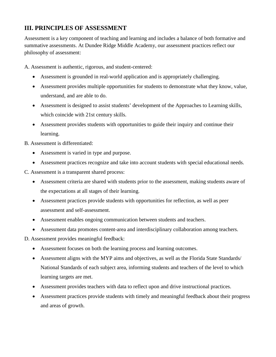# **III. PRINCIPLES OF ASSESSMENT**

Assessment is a key component of teaching and learning and includes a balance of both formative and summative assessments. At Dundee Ridge Middle Academy, our assessment practices reflect our philosophy of assessment:

A. Assessment is authentic, rigorous, and student-centered:

- Assessment is grounded in real-world application and is appropriately challenging.
- Assessment provides multiple opportunities for students to demonstrate what they know, value, understand, and are able to do.
- Assessment is designed to assist students' development of the Approaches to Learning skills, which coincide with 21st century skills.
- Assessment provides students with opportunities to guide their inquiry and continue their learning.
- B. Assessment is differentiated:
	- Assessment is varied in type and purpose.
	- Assessment practices recognize and take into account students with special educational needs.

C. Assessment is a transparent shared process:

- Assessment criteria are shared with students prior to the assessment, making students aware of the expectations at all stages of their learning.
- Assessment practices provide students with opportunities for reflection, as well as peer assessment and self-assessment.
- Assessment enables ongoing communication between students and teachers.
- Assessment data promotes content-area and interdisciplinary collaboration among teachers.
- D. Assessment provides meaningful feedback:
	- Assessment focuses on both the learning process and learning outcomes.
	- Assessment aligns with the MYP aims and objectives, as well as the Florida State Standards/ National Standards of each subject area, informing students and teachers of the level to which learning targets are met.
	- Assessment provides teachers with data to reflect upon and drive instructional practices.
	- Assessment practices provide students with timely and meaningful feedback about their progress and areas of growth.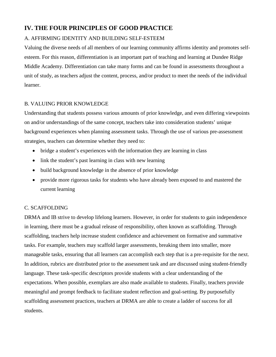# **IV. THE FOUR PRINCIPLES OF GOOD PRACTICE**

## A. AFFIRMING IDENTITY AND BUILDING SELF-ESTEEM

Valuing the diverse needs of all members of our learning community affirms identity and promotes selfesteem. For this reason, differentiation is an important part of teaching and learning at Dundee Ridge Middle Academy. Differentiation can take many forms and can be found in assessments throughout a unit of study, as teachers adjust the content, process, and/or product to meet the needs of the individual learner.

### B. VALUING PRIOR KNOWLEDGE

Understanding that students possess various amounts of prior knowledge, and even differing viewpoints on and/or understandings of the same concept, teachers take into consideration students' unique background experiences when planning assessment tasks. Through the use of various pre-assessment strategies, teachers can determine whether they need to:

- bridge a student's experiences with the information they are learning in class
- link the student's past learning in class with new learning
- build background knowledge in the absence of prior knowledge
- provide more rigorous tasks for students who have already been exposed to and mastered the current learning

### C. SCAFFOLDING

DRMA and IB strive to develop lifelong learners. However, in order for students to gain independence in learning, there must be a gradual release of responsibility, often known as scaffolding. Through scaffolding, teachers help increase student confidence and achievement on formative and summative tasks. For example, teachers may scaffold larger assessments, breaking them into smaller, more manageable tasks, ensuring that all learners can accomplish each step that is a pre-requisite for the next. In addition, rubrics are distributed prior to the assessment task and are discussed using student-friendly language. These task-specific descriptors provide students with a clear understanding of the expectations. When possible, exemplars are also made available to students. Finally, teachers provide meaningful and prompt feedback to facilitate student reflection and goal-setting. By purposefully scaffolding assessment practices, teachers at DRMA are able to create a ladder of success for all students.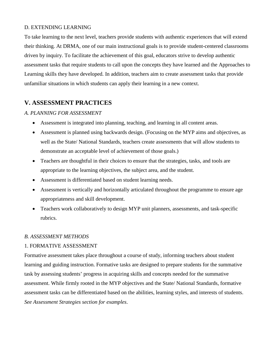### D. EXTENDING LEARNING

To take learning to the next level, teachers provide students with authentic experiences that will extend their thinking. At DRMA, one of our main instructional goals is to provide student-centered classrooms driven by inquiry. To facilitate the achievement of this goal, educators strive to develop authentic assessment tasks that require students to call upon the concepts they have learned and the Approaches to Learning skills they have developed. In addition, teachers aim to create assessment tasks that provide unfamiliar situations in which students can apply their learning in a new context.

# **V. ASSESSMENT PRACTICES**

### *A. PLANNING FOR ASSESSMENT*

- Assessment is integrated into planning, teaching, and learning in all content areas.
- Assessment is planned using backwards design. (Focusing on the MYP aims and objectives, as well as the State/ National Standards, teachers create assessments that will allow students to demonstrate an acceptable level of achievement of those goals.)
- Teachers are thoughtful in their choices to ensure that the strategies, tasks, and tools are appropriate to the learning objectives, the subject area, and the student.
- Assessment is differentiated based on student learning needs.
- Assessment is vertically and horizontally articulated throughout the programme to ensure age appropriateness and skill development.
- Teachers work collaboratively to design MYP unit planners, assessments, and task-specific rubrics.

### *B. ASSESSMENT METHODS*

### 1. FORMATIVE ASSESSMENT

Formative assessment takes place throughout a course of study, informing teachers about student learning and guiding instruction. Formative tasks are designed to prepare students for the summative task by assessing students' progress in acquiring skills and concepts needed for the summative assessment. While firmly rooted in the MYP objectives and the State/ National Standards, formative assessment tasks can be differentiated based on the abilities, learning styles, and interests of students. *See Assessment Strategies section for examples*.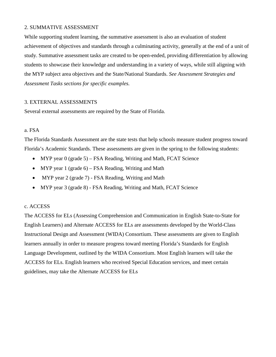### 2. SUMMATIVE ASSESSMENT

While supporting student learning, the summative assessment is also an evaluation of student achievement of objectives and standards through a culminating activity, generally at the end of a unit of study. Summative assessment tasks are created to be open-ended, providing differentiation by allowing students to showcase their knowledge and understanding in a variety of ways, while still aligning with the MYP subject area objectives and the State/National Standards. *See Assessment Strategies and Assessment Tasks sections for specific examples.*

### 3. EXTERNAL ASSESSMENTS

Several external assessments are required by the State of Florida.

#### a. FSA

The Florida Standards Assessment are the state tests that help schools measure student progress toward Florida's Academic Standards. These assessments are given in the spring to the following students:

- MYP year 0 (grade 5) FSA Reading, Writing and Math, FCAT Science
- MYP year 1 (grade 6) FSA Reading, Writing and Math
- MYP year 2 (grade 7) FSA Reading, Writing and Math
- MYP year 3 (grade 8) FSA Reading, Writing and Math, FCAT Science

### c. ACCESS

The ACCESS for ELs (Assessing Comprehension and Communication in English State-to-State for English Learners) and Alternate ACCESS for ELs are assessments developed by the World-Class Instructional Design and Assessment (WIDA) Consortium. These assessments are given to English learners annually in order to measure progress toward meeting Florida's Standards for English Language Development, outlined by the WIDA Consortium. Most English learners will take the ACCESS for ELs. English learners who received Special Education services, and meet certain guidelines, may take the Alternate ACCESS for ELs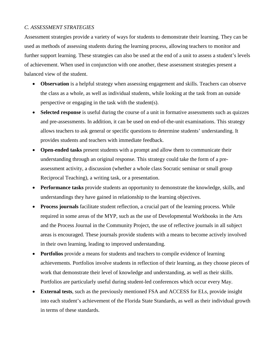### *C. ASSESSMENT STRATEGIES*

Assessment strategies provide a variety of ways for students to demonstrate their learning. They can be used as methods of assessing students during the learning process, allowing teachers to monitor and further support learning. These strategies can also be used at the end of a unit to assess a student's levels of achievement. When used in conjunction with one another, these assessment strategies present a balanced view of the student.

- **Observation** is a helpful strategy when assessing engagement and skills. Teachers can observe the class as a whole, as well as individual students, while looking at the task from an outside perspective or engaging in the task with the student(s).
- **Selected response** is useful during the course of a unit in formative assessments such as quizzes and pre-assessments. In addition, it can be used on end-of-the-unit examinations. This strategy allows teachers to ask general or specific questions to determine students' understanding. It provides students and teachers with immediate feedback.
- **Open-ended tasks** present students with a prompt and allow them to communicate their understanding through an original response. This strategy could take the form of a preassessment activity, a discussion (whether a whole class Socratic seminar or small group Reciprocal Teaching), a writing task, or a presentation.
- **Performance tasks** provide students an opportunity to demonstrate the knowledge, skills, and understandings they have gained in relationship to the learning objectives.
- **Process journals** facilitate student reflection, a crucial part of the learning process. While required in some areas of the MYP, such as the use of Developmental Workbooks in the Arts and the Process Journal in the Community Project, the use of reflective journals in all subject areas is encouraged. These journals provide students with a means to become actively involved in their own learning, leading to improved understanding.
- **Portfolios** provide a means for students and teachers to compile evidence of learning achievements. Portfolios involve students in reflection of their learning, as they choose pieces of work that demonstrate their level of knowledge and understanding, as well as their skills. Portfolios are particularly useful during student-led conferences which occur every May.
- **External tests**, such as the previously mentioned FSA and ACCESS for ELs, provide insight into each student's achievement of the Florida State Standards, as well as their individual growth in terms of these standards.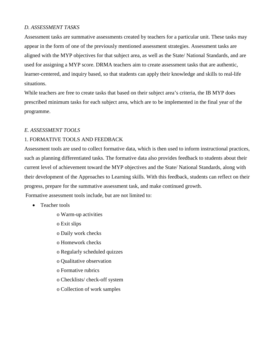### *D. ASSESSMENT TASKS*

Assessment tasks are summative assessments created by teachers for a particular unit. These tasks may appear in the form of one of the previously mentioned assessment strategies. Assessment tasks are aligned with the MYP objectives for that subject area, as well as the State/ National Standards, and are used for assigning a MYP score. DRMA teachers aim to create assessment tasks that are authentic, learner-centered, and inquiry based, so that students can apply their knowledge and skills to real-life situations.

While teachers are free to create tasks that based on their subject area's criteria, the IB MYP does prescribed minimum tasks for each subject area, which are to be implemented in the final year of the programme.

### *E. ASSESSMENT TOOLS*

### 1. FORMATIVE TOOLS AND FEEDBACK

Assessment tools are used to collect formative data, which is then used to inform instructional practices, such as planning differentiated tasks. The formative data also provides feedback to students about their current level of achievement toward the MYP objectives and the State/ National Standards, along with their development of the Approaches to Learning skills. With this feedback, students can reflect on their progress, prepare for the summative assessment task, and make continued growth. Formative assessment tools include, but are not limited to:

- Teacher tools
	- o Warm-up activities
	- o Exit slips
	- o Daily work checks
	- o Homework checks
	- o Regularly scheduled quizzes
	- o Qualitative observation
	- o Formative rubrics
	- o Checklists/ check-off system
	- o Collection of work samples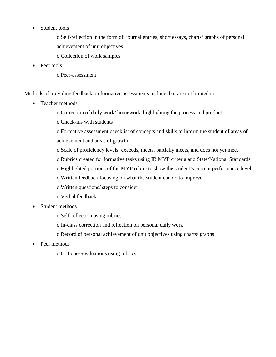• Student tools

o Self-reflection in the form of: journal entries, short essays, charts/ graphs of personal achievement of unit objectives

- o Collection of work samples
- Peer tools
	- o Peer-assessment

Methods of providing feedback on formative assessments include, but are not limited to:

- Teacher methods
	- o Correction of daily work/ homework, highlighting the process and product
	- o Check-ins with students

o Formative assessment checklist of concepts and skills to inform the student of areas of achievement and areas of growth

- o Scale of proficiency levels: exceeds, meets, partially meets, and does not yet meet
- o Rubrics created for formative tasks using IB MYP criteria and State/National Standards
- o Highlighted portions of the MYP rubric to show the student's current performance level
- o Written feedback focusing on what the student can do to improve
- o Written questions/ steps to consider
- o Verbal feedback
- Student methods
	- o Self-reflection using rubrics
	- o In-class correction and reflection on personal daily work
	- o Record of personal achievement of unit objectives using charts/ graphs
- Peer methods
	- o Critiques/evaluations using rubrics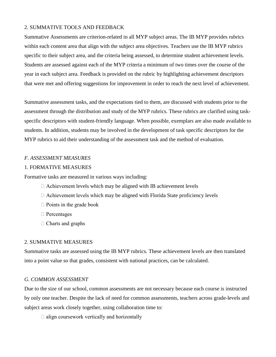### 2. SUMMATIVE TOOLS AND FEEDBACK

Summative Assessments are criterion-related in all MYP subject areas. The IB MYP provides rubrics within each content area that align with the subject area objectives. Teachers use the IB MYP rubrics specific to their subject area, and the criteria being assessed, to determine student achievement levels. Students are assessed against each of the MYP criteria a minimum of two times over the course of the year in each subject area. Feedback is provided on the rubric by highlighting achievement descriptors that were met and offering suggestions for improvement in order to reach the next level of achievement.

Summative assessment tasks, and the expectations tied to them, are discussed with students prior to the assessment through the distribution and study of the MYP rubrics. These rubrics are clarified using taskspecific descriptors with student-friendly language. When possible, exemplars are also made available to students. In addition, students may be involved in the development of task specific descriptors for the MYP rubrics to aid their understanding of the assessment task and the method of evaluation.

#### *F. ASSESSMENT MEASURES*

#### 1. FORMATIVE MEASURES

Formative tasks are measured in various ways including:

- $\Box$  Achievement levels which may be aligned with IB achievement levels
- $\Box$  Achievement levels which may be aligned with Florida State proficiency levels
- $\Box$  Points in the grade book
- □ Percentages
- $\Box$  Charts and graphs

### 2. SUMMATIVE MEASURES

Summative tasks are assessed using the IB MYP rubrics. These achievement levels are then translated into a point value so that grades, consistent with national practices, can be calculated.

### *G. COMMON ASSESSMENT*

Due to the size of our school, common assessments are not necessary because each course is instructed by only one teacher. Despite the lack of need for common assessments, teachers across grade-levels and subject areas work closely together, using collaboration time to:

 $\Box$  align coursework vertically and horizontally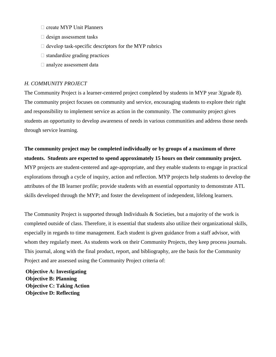- $\Box$  create MYP Unit Planners
- $\Box$  design assessment tasks
- $\Box$  develop task-specific descriptors for the MYP rubrics
- $\Box$  standardize grading practices
- analyze assessment data

### *H. COMMUNITY PROJECT*

The Community Project is a learner-centered project completed by students in MYP year 3(grade 8). The community project focuses on community and service, encouraging students to explore their right and responsibility to implement service as action in the community. The community project gives students an opportunity to develop awareness of needs in various communities and address those needs through service learning.

# **The community project may be completed individually or by groups of a maximum of three students. Students are expected to spend approximately 15 hours on their community project.**

MYP projects are student-centered and age-appropriate, and they enable students to engage in practical explorations through a cycle of inquiry, action and reflection. MYP projects help students to develop the attributes of the IB learner profile; provide students with an essential opportunity to demonstrate ATL skills developed through the MYP; and foster the development of independent, lifelong learners.

The Community Project is supported through Individuals & Societies, but a majority of the work is completed outside of class. Therefore, it is essential that students also utilize their organizational skills, especially in regards to time management. Each student is given guidance from a staff advisor, with whom they regularly meet. As students work on their Community Projects, they keep process journals. This journal, along with the final product, report, and bibliography, are the basis for the Community Project and are assessed using the Community Project criteria of:

**Objective A: Investigating Objective B: Planning Objective C: Taking Action Objective D: Reflecting**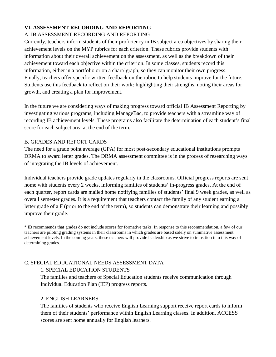# **VI. ASSESSMENT RECORDING AND REPORTING**

# A. IB ASSESSMENT RECORDING AND REPORTING

Currently, teachers inform students of their proficiency in IB subject area objectives by sharing their achievement levels on the MYP rubrics for each criterion. These rubrics provide students with information about their overall achievement on the assessment, as well as the breakdown of their achievement toward each objective within the criterion. In some classes, students record this information, either in a portfolio or on a chart/ graph, so they can monitor their own progress. Finally, teachers offer specific written feedback on the rubric to help students improve for the future. Students use this feedback to reflect on their work: highlighting their strengths, noting their areas for growth, and creating a plan for improvement.

In the future we are considering ways of making progress toward official IB Assessment Reporting by investigating various programs, including ManageBac, to provide teachers with a streamline way of recording IB achievement levels. These programs also facilitate the determination of each student's final score for each subject area at the end of the term.

### B. GRADES AND REPORT CARDS

The need for a grade point average (GPA) for most post-secondary educational institutions prompts DRMA to award letter grades. The DRMA assessment committee is in the process of researching ways of integrating the IB levels of achievement.

Individual teachers provide grade updates regularly in the classrooms. Official progress reports are sent home with students every 2 weeks, informing families of students' in-progress grades. At the end of each quarter, report cards are mailed home notifying families of students' final 9 week grades, as well as overall semester grades. It is a requirement that teachers contact the family of any student earning a letter grade of a F (prior to the end of the term), so students can demonstrate their learning and possibly improve their grade.

\* IB recommends that grades do not include scores for formative tasks. In response to this recommendation, a few of our teachers are piloting grading systems in their classrooms in which grades are based solely on summative assessment achievement levels. In the coming years, these teachers will provide leadership as we strive to transition into this way of determining grades.

# C. SPECIAL EDUCATIONAL NEEDS ASSESSMENT DATA

# 1. SPECIAL EDUCATION STUDENTS

The families and teachers of Special Education students receive communication through Individual Education Plan (IEP) progress reports.

# 2. ENGLISH LEARNERS

The families of students who receive English Learning support receive report cards to inform them of their students' performance within English Learning classes. In addition, ACCESS scores are sent home annually for English learners.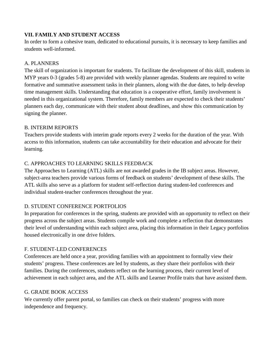# **VII. FAMILY AND STUDENT ACCESS**

In order to form a cohesive team, dedicated to educational pursuits, it is necessary to keep families and students well-informed.

## A. PLANNERS

The skill of organization is important for students. To facilitate the development of this skill, students in MYP years 0-3 (grades 5-8) are provided with weekly planner agendas. Students are required to write formative and summative assessment tasks in their planners, along with the due dates, to help develop time management skills. Understanding that education is a cooperative effort, family involvement is needed in this organizational system. Therefore, family members are expected to check their students' planners each day, communicate with their student about deadlines, and show this communication by signing the planner.

### B. INTERIM REPORTS

Teachers provide students with interim grade reports every 2 weeks for the duration of the year. With access to this information, students can take accountability for their education and advocate for their learning.

# C. APPROACHES TO LEARNING SKILLS FEEDBACK

The Approaches to Learning (ATL) skills are not awarded grades in the IB subject areas. However, subject-area teachers provide various forms of feedback on students' development of these skills. The ATL skills also serve as a platform for student self-reflection during student-led conferences and individual student-teacher conferences throughout the year.

# D. STUDENT CONFERENCE PORTFOLIOS

In preparation for conferences in the spring, students are provided with an opportunity to reflect on their progress across the subject areas. Students compile work and complete a reflection that demonstrates their level of understanding within each subject area, placing this information in their Legacy portfolios housed electronically in one drive folders.

# F. STUDENT-LED CONFERENCES

Conferences are held once a year, providing families with an appointment to formally view their students' progress. These conferences are led by students, as they share their portfolios with their families. During the conferences, students reflect on the learning process, their current level of achievement in each subject area, and the ATL skills and Learner Profile traits that have assisted them.

### G. GRADE BOOK ACCESS

We currently offer parent portal, so families can check on their students' progress with more independence and frequency.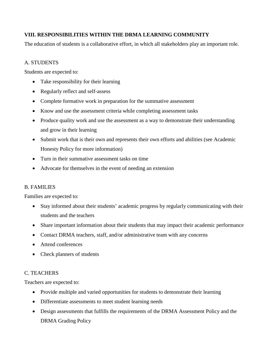# **VIII. RESPONSIBILITIES WITHIN THE DRMA LEARNING COMMUNITY**

The education of students is a collaborative effort, in which all stakeholders play an important role.

### A. STUDENTS

Students are expected to:

- Take responsibility for their learning
- Regularly reflect and self-assess
- Complete formative work in preparation for the summative assessment
- Know and use the assessment criteria while completing assessment tasks
- Produce quality work and use the assessment as a way to demonstrate their understanding and grow in their learning
- Submit work that is their own and represents their own efforts and abilities (see Academic Honesty Policy for more information)
- Turn in their summative assessment tasks on time
- Advocate for themselves in the event of needing an extension

### B. FAMILIES

Families are expected to:

- Stay informed about their students' academic progress by regularly communicating with their students and the teachers
- Share important information about their students that may impact their academic performance
- Contact DRMA teachers, staff, and/or administrative team with any concerns
- Attend conferences
- Check planners of students

# C. TEACHERS

Teachers are expected to:

- Provide multiple and varied opportunities for students to demonstrate their learning
- Differentiate assessments to meet student learning needs
- Design assessments that fulfills the requirements of the DRMA Assessment Policy and the DRMA Grading Policy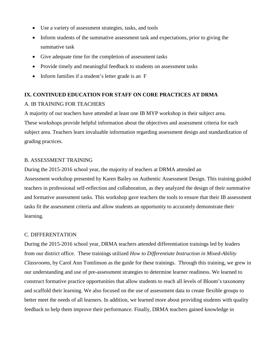- Use a variety of assessment strategies, tasks, and tools
- Inform students of the summative assessment task and expectations, prior to giving the summative task
- Give adequate time for the completion of assessment tasks
- Provide timely and meaningful feedback to students on assessment tasks
- Inform families if a student's letter grade is an F

# **IX. CONTINUED EDUCATION FOR STAFF ON CORE PRACTICES AT DRMA**

# A. IB TRAINING FOR TEACHERS

A majority of our teachers have attended at least one IB MYP workshop in their subject area. These workshops provide helpful information about the objectives and assessment criteria for each subject area. Teachers learn invaluable information regarding assessment design and standardization of grading practices.

### B. ASSESSMENT TRAINING

During the 2015-2016 school year, the majority of teachers at DRMA attended an

Assessment workshop presented by Karen Bailey on Authentic Assessment Design. This training guided teachers in professional self-reflection and collaboration, as they analyzed the design of their summative and formative assessment tasks. This workshop gave teachers the tools to ensure that their IB assessment tasks fit the assessment criteria and allow students an opportunity to accurately demonstrate their learning.

### C. DIFFERENTATION

During the 2015-2016 school year, DRMA teachers attended differentiation trainings led by leaders from our district office. These trainings utilized *How to Differentiate Instruction in Mixed-Ability Classrooms*, by Carol Ann Tomlinson as the guide for these trainings. Through this training, we grew in our understanding and use of pre-assessment strategies to determine learner readiness. We learned to construct formative practice opportunities that allow students to reach all levels of Bloom's taxonomy and scaffold their learning. We also focused on the use of assessment data to create flexible groups to better meet the needs of all learners. In addition, we learned more about providing students with quality feedback to help them improve their performance. Finally, DRMA teachers gained knowledge in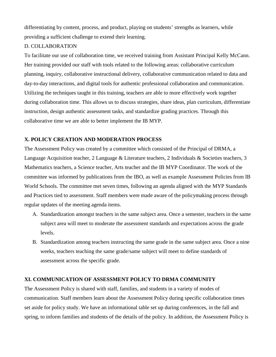differentiating by content, process, and product, playing on students' strengths as learners, while providing a sufficient challenge to extend their learning.

### D. COLLABORATION

To facilitate our use of collaboration time, we received training from Assistant Principal Kelly McCann. Her training provided our staff with tools related to the following areas: collaborative curriculum planning, inquiry, collaborative instructional delivery, collaborative communication related to data and day-to-day interactions, and digital tools for authentic professional collaboration and communication. Utilizing the techniques taught in this training, teachers are able to more effectively work together during collaboration time. This allows us to discuss strategies, share ideas, plan curriculum, differentiate instruction, design authentic assessment tasks, and standardize grading practices. Through this collaborative time we are able to better implement the IB MYP.

### **X. POLICY CREATION AND MODERATION PROCESS**

The Assessment Policy was created by a committee which consisted of the Principal of DRMA, a Language Acquisition teacher, 2 Language & Literature teachers, 2 Individuals & Societies teachers, 3 Mathematics teachers, a Science teacher, Arts teacher and the IB MYP Coordinator. The work of the committee was informed by publications from the IBO, as well as example Assessment Policies from IB World Schools. The committee met seven times, following an agenda aligned with the MYP Standards and Practices tied to assessment. Staff members were made aware of the policymaking process through regular updates of the meeting agenda items.

- A. Standardization amongst teachers in the same subject area. Once a semester, teachers in the same subject area will meet to moderate the assessment standards and expectations across the grade levels.
- B. Standardization among teachers instructing the same grade in the same subject area. Once a nine weeks, teachers teaching the same grade/same subject will meet to define standards of assessment across the specific grade.

### **XI. COMMUNICATION OF ASSESSMENT POLICY TO DRMA COMMUNITY**

The Assessment Policy is shared with staff, families, and students in a variety of modes of communication. Staff members learn about the Assessment Policy during specific collaboration times set aside for policy study. We have an informational table set up during conferences, in the fall and spring, to inform families and students of the details of the policy. In addition, the Assessment Policy is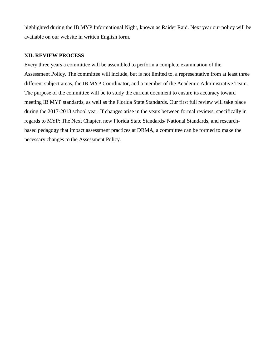highlighted during the IB MYP Informational Night, known as Raider Raid. Next year our policy will be available on our website in written English form.

### **XII. REVIEW PROCESS**

Every three years a committee will be assembled to perform a complete examination of the Assessment Policy. The committee will include, but is not limited to, a representative from at least three different subject areas, the IB MYP Coordinator, and a member of the Academic Administrative Team. The purpose of the committee will be to study the current document to ensure its accuracy toward meeting IB MYP standards, as well as the Florida State Standards. Our first full review will take place during the 2017-2018 school year. If changes arise in the years between formal reviews, specifically in regards to MYP: The Next Chapter, new Florida State Standards/ National Standards, and researchbased pedagogy that impact assessment practices at DRMA, a committee can be formed to make the necessary changes to the Assessment Policy.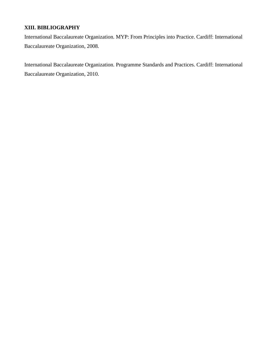# **XIII. BIBLIOGRAPHY**

International Baccalaureate Organization. MYP: From Principles into Practice. Cardiff: International Baccalaureate Organization, 2008.

International Baccalaureate Organization. Programme Standards and Practices. Cardiff: International Baccalaureate Organization, 2010.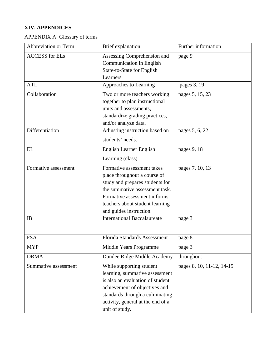# **XIV. APPENDICES**

APPENDIX A: Glossary of terms

| Abbreviation or Term  | Brief explanation                                                                                                                                                                                                             | Further information       |
|-----------------------|-------------------------------------------------------------------------------------------------------------------------------------------------------------------------------------------------------------------------------|---------------------------|
| <b>ACCESS</b> for ELs | Assessing Comprehension and<br>Communication in English<br>State-to-State for English<br>Learners                                                                                                                             | page 9                    |
| <b>ATL</b>            | Approaches to Learning                                                                                                                                                                                                        | pages 3, 19               |
| Collaboration         | Two or more teachers working<br>together to plan instructional<br>units and assessments,<br>standardize grading practices,<br>and/or analyze data.                                                                            | pages 5, 15, 23           |
| Differentiation       | Adjusting instruction based on<br>students' needs.                                                                                                                                                                            | pages 5, 6, 22            |
| EL                    | English Learner English<br>Learning (class)                                                                                                                                                                                   | pages 9, 18               |
| Formative assessment  | Formative assessment takes<br>place throughout a course of<br>study and prepares students for<br>the summative assessment task.<br>Formative assessment informs<br>teachers about student learning<br>and guides instruction. | pages 7, 10, 13           |
| IB                    | <b>International Baccalaureate</b>                                                                                                                                                                                            | page 3                    |
|                       |                                                                                                                                                                                                                               |                           |
| <b>FSA</b>            | Florida Standards Assessment                                                                                                                                                                                                  | page 8                    |
| <b>MYP</b>            | Middle Years Programme                                                                                                                                                                                                        | page 3                    |
| <b>DRMA</b>           | Dundee Ridge Middle Academy                                                                                                                                                                                                   | throughout                |
| Summative assessment  | While supporting student<br>learning, summative assessment<br>is also an evaluation of student<br>achievement of objectives and<br>standards through a culminating<br>activity, general at the end of a<br>unit of study.     | pages 8, 10, 11-12, 14-15 |